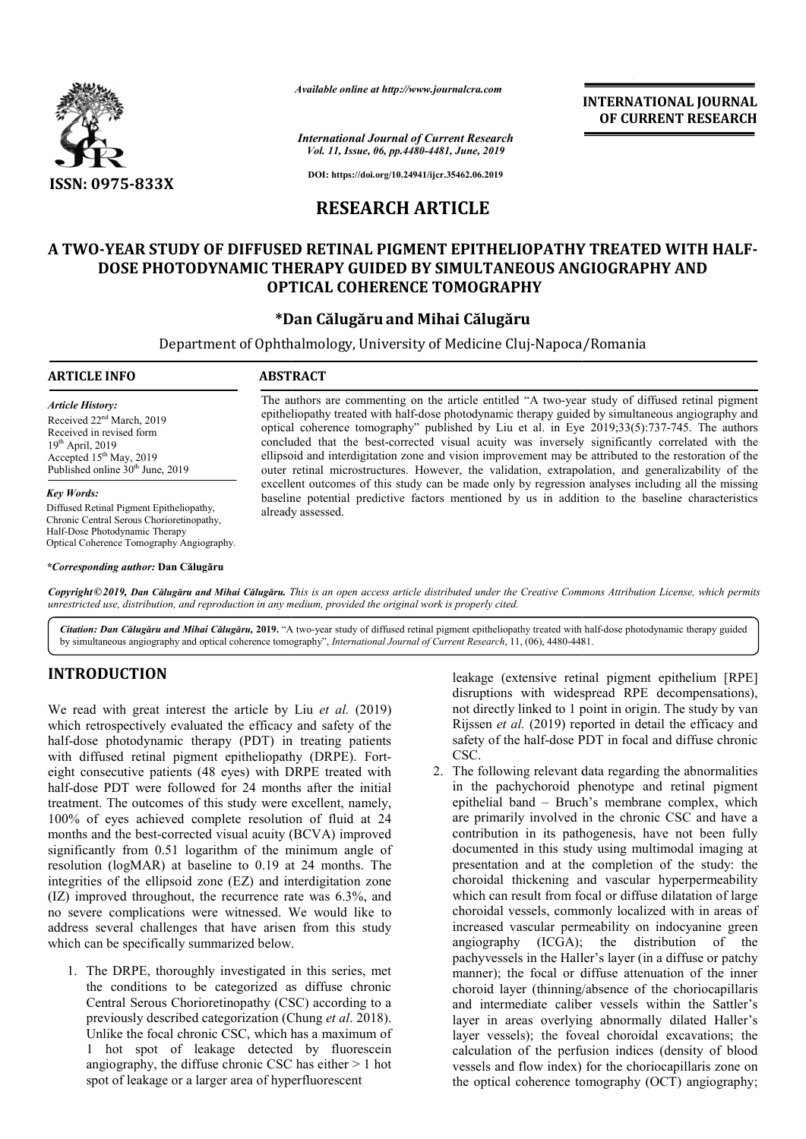

*Available online at http://www.journalcra.com*

*International Journal of Current Research Vol. 11, Issue, 06, pp.4480-4481, June, 2019*

**DOI: https://doi.org/10.24941/ijcr.35462.06.2019**

# **RESEARCH ARTICLE**

## **A TWO-YEAR STUDY OF DIFFUSED RETINAL PIGMENT EPITHELIOPATHY TREATED WITH HALF HALF-DOSE PHOTODYNAMIC THERAPY GUIDED BY SIMULTANEOUS ANGIOGRAPHY AND OPTICAL COHERENCE TOMOGRAPHY** YEAR STUDY OF DIFFUSED RETINAL PIGMENT EPITHELIC<br>OSE PHOTODYNAMIC THERAPY GUIDED BY SIMULTANEO<br>OPTICAL COHERENCE TOMOGRAPH<br>Dan Călugăru and Mihai Călugăru\* **BY SIMULTANEOUS**

### **\*Dan Călugăru**

Department of Ophthalmology, University of Medicine Cluj-Napoca/Romania

### **ARTICLE INFO ABSTRACT**

*Article History:* Received 22nd March, 2019 Received in revised form 19th April, 2019 Accepted 15<sup>th</sup> May, 2019 Published online 30<sup>th</sup> June, 2019

### *Key Words:*

Diffused Retinal Pigment Epitheliopathy, Chronic Central Serous Chorioretinopathy, Half-Dose Photodynamic Therapy Optical Coherence Tomography Angiography.

*\*Corresponding author:* **Dan Călugăru**

The authors are commenting on the article entitled "A two-year study of diffused retinal pigment epitheliopathy treated with half-dose photodynamic therapy guided by simultaneous angiography and The authors are commenting on the article entitled "A two-year study of diffused retinal pigment epitheliopathy treated with half-dose photodynamic therapy guided by simultaneous angiography and optical coherence tomograph concluded that the best-corrected visual acuity was inversely significantly correlated with the ellipsoid and interdigitation zone and vision improvement may be attributed to the restoration of the outer retinal microstructures. However, the validation, extrapolation, and generalizability of the excellent outcomes of this study can b be made only by regression analyses including all the missing baseline potential predictive factors mentioned by us in addition to the baseline characteristics already assessed. id and interdigitation zone and vision improvement may be attributed to the restoration of the retinal microstructures. However, the validation, extrapolation, and generalizability of the ent outcomes of this study can be

Copyright©2019, Dan Călugăru and Mihai Călugăru. This is an open access article distributed under the Creative Commons Attribution License, which permits *unrestricted use, distribution, and reproduction in any medium, provided the original work is properly cited.*

Citation: Dan Călugăru and Mihai Călugăru, 2019. "A two-year study of diffused retinal pigment epitheliopathy treated with half-dose photodynamic therapy guided by simultaneous angiography and optical coherence tomography", *International Journal of Current Research*, 11, (06), 4480-4481.

## **INTRODUCTION**

We read with great interest the article by Liu *et al.* (2019) which retrospectively evaluated the efficacy and safety of the half-dose photodynamic therapy (PDT) in treating patients half-dose photodynamic therapy (PDT) in treating patients<br>with diffused retinal pigment epitheliopathy (DRPE). Forteight consecutive patients (48 eyes) with DRPE treated with half-dose PDT were followed for 24 months after the initial treatment. The outcomes of this study were excellent, namely, 100% of eyes achieved complete resolution of fluid at 24 months and the best-corrected visual acuity (BCVA) improved significantly from 0.51 logarithm of the minimum angle of resolution (logMAR) at baseline to 0.19 at 24 months. The half-dose PDT were followed for 24 months after the initial treatment. The outcomes of this study were excellent, namely, 100% of eyes achieved complete resolution of fluid at 24 months and the best-corrected visual acuity (IZ) improved throughout, the recurrence rate was 6.3%, and no severe complications were witnessed. We would like to address several challenges that have arisen from this study which can be specifically summarized below.

1. The DRPE, thoroughly investigated in this series, met the conditions to be categorized as diffuse chronic Central Serous Chorioretinopathy (CSC) according to a previously described categorization (Chung *et al*. 2018). Unlike the focal chronic CSC, which has a maximum of 1 hot spot of leakage detected by fluorescein angiography, the diffuse chronic CSC has either > 1 hot spot of leakage or a larger area of hyperfluorescent

leakage (extensive retinal pigment epithelium [RPE] disruptions with widespread RPE decompensations), not directly linked to 1 point in origin. The study by van Rijssen *et al.* (2019) reported in detail the efficacy and safety of the half-dose PDT in focal and diffuse chronic CSC. disruptions with widespread RPE decompensations), not directly linked to 1 point in origin. The study by van Rijssen *et al.* (2019) reported in detail the efficacy and safety of the half-dose PDT in focal and diffuse chro

**INTERNATIONAL JOURNAL OF CURRENT RESEARCH**

2. The following relevant data regarding the abnormalities epithelial band – Bruch's membrane complex, which are primarily involved in the chronic CSC and have a contribution in its pathogenesis, have not been fully documented in this study using multimodal imaging at documented in this study using multimodal imaging at presentation and at the completion of the study: the choroidal thickening and vascular hyperpermeability which can result from focal or diffuse dilatation of large which can result from focal or diffuse dilatation of large choroidal vessels, commonly localized with in areas of increased vascular permeability on indocyanine green increased vascular permeability angiography pachyvessels in the Haller's layer (in a diffuse or patchy manner); the focal or diffuse attenuation of the inner choroid layer (thinning/absence of the choriocapillaris and intermediate caliber vessels within the Sattler's layer in areas overlying abnormally dilated Haller's layer vessels); the foveal choroidal excavations; the calculation of the perfusion indices (density of blood vessels and flow index) for the choriocapillaris zone on the optical coherence tomography (OCT) angiography;  $(ICGA)$ ; the distribution of the the given interpretation of the inner poid layer (thinning/absence of the choriocapillaris intermediate caliber vessels within the Sattler's in areas overlying abnormally dilated Haller's of s the zone